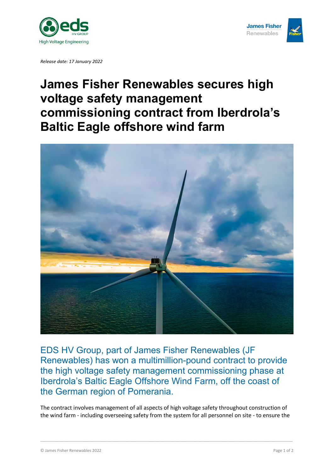

*Release date: 17 January 2022*

## **James Fisher Renewables secures high voltage safety management commissioning contract from Iberdrola's Baltic Eagle offshore wind farm**



EDS HV Group, part of James Fisher Renewables (JF Renewables) has won a multimillion-pound contract to provide the high voltage safety management commissioning phase at Iberdrola's Baltic Eagle Offshore Wind Farm, off the coast of the German region of Pomerania.

The contract involves management of all aspects of high voltage safety throughout construction of the wind farm - including overseeing safety from the system for all personnel on site - to ensure the

\_\_\_\_\_\_\_\_\_\_\_\_\_\_\_\_\_\_\_\_\_\_\_\_\_\_\_\_\_\_\_\_\_\_\_\_\_\_\_\_\_\_\_\_\_\_\_\_\_\_\_\_\_\_\_\_\_\_\_\_\_\_\_\_\_\_\_\_\_\_\_\_\_\_\_\_\_\_\_\_\_\_\_\_\_\_\_\_\_\_\_\_\_\_\_\_\_\_\_\_\_\_\_\_\_\_\_\_\_\_\_\_\_

**James Fisher Renewables**